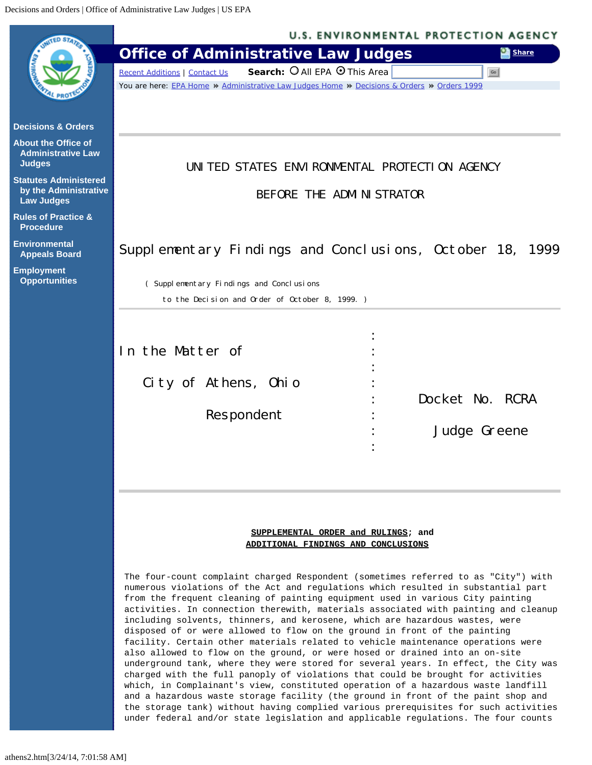<span id="page-0-0"></span>

the contract of the contract of the contract of the contract of the contract of the contract of the contract of

# **SUPPLEMENTAL ORDER and RULINGS; and ADDITIONAL FINDINGS AND CONCLUSIONS**

The four-count complaint charged Respondent (sometimes referred to as "City") with numerous violations of the Act and regulations which resulted in substantial part from the frequent cleaning of painting equipment used in various City painting activities. In connection therewith, materials associated with painting and cleanup including solvents, thinners, and kerosene, which are hazardous wastes, were disposed of or were allowed to flow on the ground in front of the painting facility. Certain other materials related to vehicle maintenance operations were also allowed to flow on the ground, or were hosed or drained into an on-site underground tank, where they were stored for several years. In effect, the City was charged with the full panoply of violations that could be brought for activities which, in Complainant's view, constituted operation of a hazardous waste landfill and a hazardous waste storage facility (the ground in front of the paint shop and the storage tank) without having complied various prerequisites for such activities under federal and/or state legislation and applicable regulations. The four counts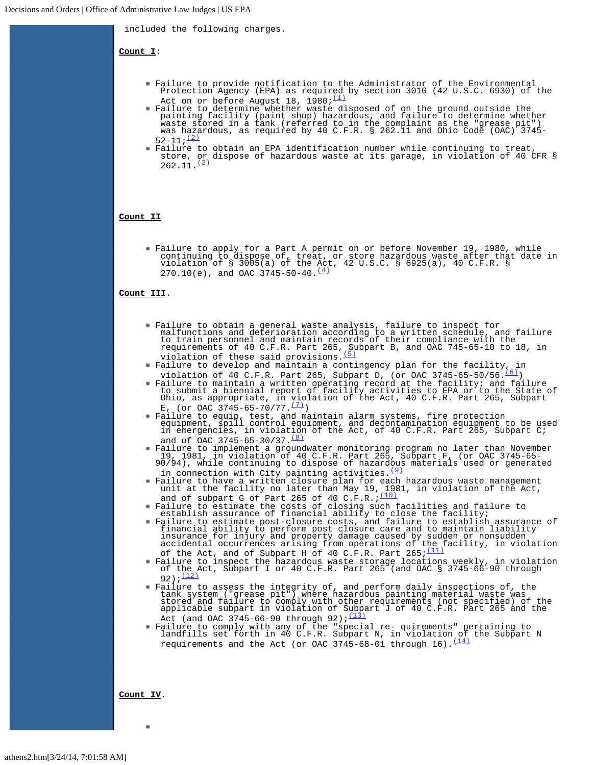included the following charges.

**Count I**:

- Failure to provide notification to the Administrator of the Environmental Protection Agency (EPA) as required by section 3010 (42 U.S.C. 6930) of the Act on or before August 18,  $1980; (1)$  $1980; (1)$
- Failure to determine whether waste disposed of on the ground outside the<br>painting facility (paint shop) hazardous, and failure to determine whether<br>waste stored in a tank (referred to in the complaint as the "grease pit")<br>  $52-11; (2)$  $52-11; (2)$
- Failure to obtain an EPA identification number while continuing to treat, store, or dispose of hazardous waste at its garage, in violation of 40 CFR §  $262.11.$ <sup>[\(3\)](#page-5-2)</sup>

## **Count II**

Failure to apply for a Part A permit on or before November 19, 1980, while continuing to dispose of, treat, or store hazardous waste after that date in violation of § 3005(a) of the Act, 42 U.S.C. § 6925(a), 40 C.F.R. §  $270.10(e)$ , and OAC  $3745-50-40 \cdot \frac{(4)}{2}$  $3745-50-40 \cdot \frac{(4)}{2}$  $3745-50-40 \cdot \frac{(4)}{2}$ 

# **Count III**.

- Failure to obtain a general waste analysis, failure to inspect for malfunctions and deterioration according to a written schedule, and failure<br>to train personnel and maintain records of their compliance with the<br>requirements of 40 C.F.R. Part 265, Subpart B, and OAC 745-65-10 to 18, in<br>vi
- Failure to develop and maintain a contingency plan for the facility, in violation of 40 C.F.R. Part 265, Subpart D, (or OAC 3745-65-50/56. $(6)$ )
- Failure to maintain a written operating record at the facility; and failure<br>to submit a biennial report of facility activities to EPA or to the State of<br>Ohio, as appropriate, in violation of the Act, 40 C.F.R. Part 265, Su E<sub>1</sub> (or OAC 3745-65-70/77. $\frac{(7)}{2}$ )
- Failure to equip, test, and maintain alarm systems, fire protection equipment, spill control equipment, and decontamination equipment to be used in emergencies, in violation of the Act, of 40 C.F.R. Part 265, Subpart C; and of OAC 3745-65-30/37. $\frac{(8)}{6}$  $\frac{(8)}{6}$  $\frac{(8)}{6}$
- Failure to implement a groundwater monitoring program no later than November 19, 1981, in violation of 40 C.F.R. Part 265, Subpart F, (or OAC 3745-65- 90/94), while continuing to dispose of hazardous materials used or generated in connection with City painting activities. $(9)$
- Failure to have a written closure plan for each hazardous waste management unit at the facility no later than May 19, 1981, in violation of the Act, and of subpart G of Part 265 of 40 C.F.R.; $\frac{(10)}{(10)}$  $\frac{(10)}{(10)}$  $\frac{(10)}{(10)}$
- Failure to estimate the costs of closing such facilities and failure to establish assurance of financial ability to close the facility;
- Failure to estimate post-closure costs, and failure to establish assurance of<br>financial ability to perform post closure care and to maintain liability<br>insurance for injury and property damage caused by sudden or nonsudden<br>
- of the Act, and of Subpart H of 40 C.F.R. Part  $265;\frac{(11)}{11}$  $265;\frac{(11)}{11}$  $265;\frac{(11)}{11}$ Failure to inspect the hazardous waste storage locations weekly, in violation of the Act, Subpart I or 40 C.F.R. Part 265 (and OAC § 3745-66-90 through 92); $(12)$
- Failure to assess the integrity of, and perform daily inspections of, the<br>tank system ("grease pit") where hazardous painting material waste was<br>stored and failure to comply with other requirements (not specified) of the<br>a Act (and OAC 3745-66-90 through 92);  $(13)$
- Failure to comply with any of the "special re- quirements" pertaining to landfills set forth in 40 C.F.R. Subpart N, in violation of the Subpart N requirements and the Act (or OAC 3745-68-01 through  $16) \cdot \frac{(14)}{(14)}$  $16) \cdot \frac{(14)}{(14)}$  $16) \cdot \frac{(14)}{(14)}$

**Count IV**.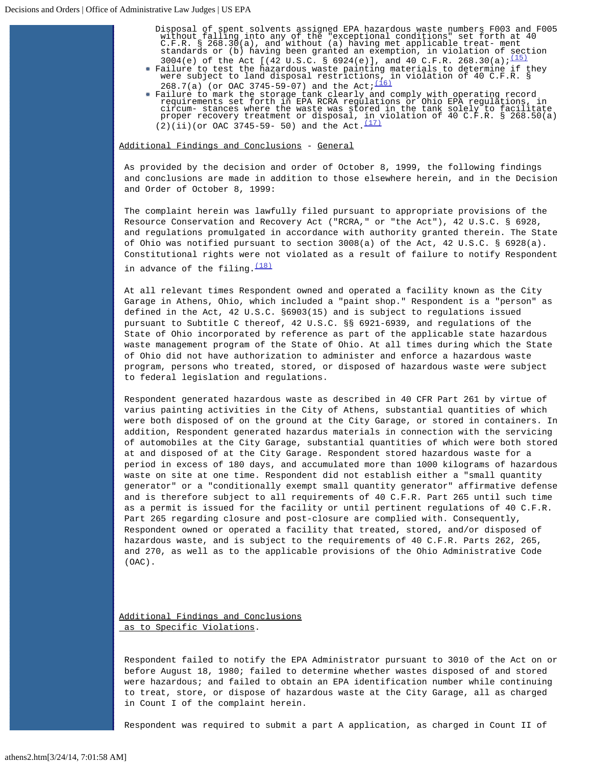- Disposal of spent solvents assigned EPA hazardous waste numbers F003 and F005<br>without falling into any of the "exceptional conditions" set forth at 40<br>C.F.R. § 268.30(a), and without (a) having met applicable treat- ment<br>s 3004(e) of the Act  $[(42 \text{ U.S.C. } 6924(e)],$  and 40 C.F.R. 268.30(a); $\frac{(15)}{(15)}$  $\frac{(15)}{(15)}$  $\frac{(15)}{(15)}$ 
	- Failure to test the hazardous waste painting materials to determine if they<br>were subject to land disposal restrictions, in violation of 40 C.F.R. §<br>\_268.7(a) (or OAC 3745-59-07) and the Act;<sup>[\(16\)](#page-5-15)</sup>
- Failure to mark the storage tank clearly and comply with operating record<br>requirements set forth in EPA RCRA regulations or Ohio EPA regulations, in<br>circum- stances where the waste was stored in the tank solely to facilita  $(2)(ii)(or OAC 3745-59- 50)$  and the Act.<sup>[\(17\)](#page-5-16)</sup>

Additional Findings and Conclusions - General

As provided by the decision and order of October 8, 1999, the following findings and conclusions are made in addition to those elsewhere herein, and in the Decision and Order of October 8, 1999:

The complaint herein was lawfully filed pursuant to appropriate provisions of the Resource Conservation and Recovery Act ("RCRA," or "the Act"), 42 U.S.C. § 6928, and regulations promulgated in accordance with authority granted therein. The State of Ohio was notified pursuant to section 3008(a) of the Act, 42 U.S.C. § 6928(a). Constitutional rights were not violated as a result of failure to notify Respondent in advance of the filing.  $(18)$ 

At all relevant times Respondent owned and operated a facility known as the City Garage in Athens, Ohio, which included a "paint shop." Respondent is a "person" as defined in the Act, 42 U.S.C. §6903(15) and is subject to regulations issued pursuant to Subtitle C thereof, 42 U.S.C. §§ 6921-6939, and regulations of the State of Ohio incorporated by reference as part of the applicable state hazardous waste management program of the State of Ohio. At all times during which the State of Ohio did not have authorization to administer and enforce a hazardous waste program, persons who treated, stored, or disposed of hazardous waste were subject to federal legislation and regulations.

Respondent generated hazardous waste as described in 40 CFR Part 261 by virtue of varius painting activities in the City of Athens, substantial quantities of which were both disposed of on the ground at the City Garage, or stored in containers. In addition, Respondent generated hazardus materials in connection with the servicing of automobiles at the City Garage, substantial quantities of which were both stored at and disposed of at the City Garage. Respondent stored hazardous waste for a period in excess of 180 days, and accumulated more than 1000 kilograms of hazardous waste on site at one time. Respondent did not establish either a "small quantity generator" or a "conditionally exempt small quantity generator" affirmative defense and is therefore subject to all requirements of 40 C.F.R. Part 265 until such time as a permit is issued for the facility or until pertinent regulations of 40 C.F.R. Part 265 regarding closure and post-closure are complied with. Consequently, Respondent owned or operated a facility that treated, stored, and/or disposed of hazardous waste, and is subject to the requirements of 40 C.F.R. Parts 262, 265, and 270, as well as to the applicable provisions of the Ohio Administrative Code (OAC).

Additional Findings and Conclusions as to Specific Violations.

Respondent failed to notify the EPA Administrator pursuant to 3010 of the Act on or before August 18, 1980; failed to determine whether wastes disposed of and stored were hazardous; and failed to obtain an EPA identification number while continuing to treat, store, or dispose of hazardous waste at the City Garage, all as charged in Count I of the complaint herein.

Respondent was required to submit a part A application, as charged in Count II of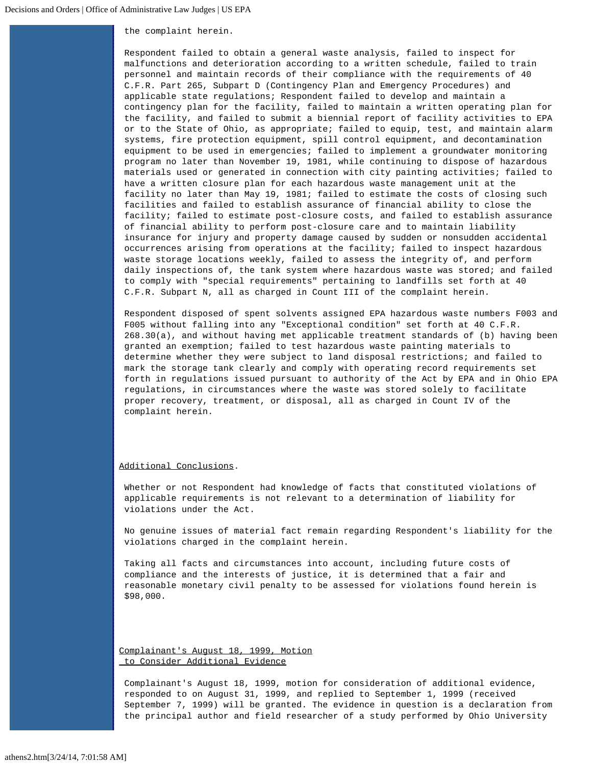the complaint herein.

Respondent failed to obtain a general waste analysis, failed to inspect for malfunctions and deterioration according to a written schedule, failed to train personnel and maintain records of their compliance with the requirements of 40 C.F.R. Part 265, Subpart D (Contingency Plan and Emergency Procedures) and applicable state regulations; Respondent failed to develop and maintain a contingency plan for the facility, failed to maintain a written operating plan for the facility, and failed to submit a biennial report of facility activities to EPA or to the State of Ohio, as appropriate; failed to equip, test, and maintain alarm systems, fire protection equipment, spill control equipment, and decontamination equipment to be used in emergencies; failed to implement a groundwater monitoring program no later than November 19, 1981, while continuing to dispose of hazardous materials used or generated in connection with city painting activities; failed to have a written closure plan for each hazardous waste management unit at the facility no later than May 19, 1981; failed to estimate the costs of closing such facilities and failed to establish assurance of financial ability to close the facility; failed to estimate post-closure costs, and failed to establish assurance of financial ability to perform post-closure care and to maintain liability insurance for injury and property damage caused by sudden or nonsudden accidental occurrences arising from operations at the facility; failed to inspect hazardous waste storage locations weekly, failed to assess the integrity of, and perform daily inspections of, the tank system where hazardous waste was stored; and failed to comply with "special requirements" pertaining to landfills set forth at 40 C.F.R. Subpart N, all as charged in Count III of the complaint herein.

Respondent disposed of spent solvents assigned EPA hazardous waste numbers F003 and F005 without falling into any "Exceptional condition" set forth at 40 C.F.R. 268.30(a), and without having met applicable treatment standards of (b) having been granted an exemption; failed to test hazardous waste painting materials to determine whether they were subject to land disposal restrictions; and failed to mark the storage tank clearly and comply with operating record requirements set forth in regulations issued pursuant to authority of the Act by EPA and in Ohio EPA regulations, in circumstances where the waste was stored solely to facilitate proper recovery, treatment, or disposal, all as charged in Count IV of the complaint herein.

## Additional Conclusions.

Whether or not Respondent had knowledge of facts that constituted violations of applicable requirements is not relevant to a determination of liability for violations under the Act.

No genuine issues of material fact remain regarding Respondent's liability for the violations charged in the complaint herein.

Taking all facts and circumstances into account, including future costs of compliance and the interests of justice, it is determined that a fair and reasonable monetary civil penalty to be assessed for violations found herein is \$98,000.

Complainant's August 18, 1999, Motion to Consider Additional Evidence

Complainant's August 18, 1999, motion for consideration of additional evidence, responded to on August 31, 1999, and replied to September 1, 1999 (received September 7, 1999) will be granted. The evidence in question is a declaration from the principal author and field researcher of a study performed by Ohio University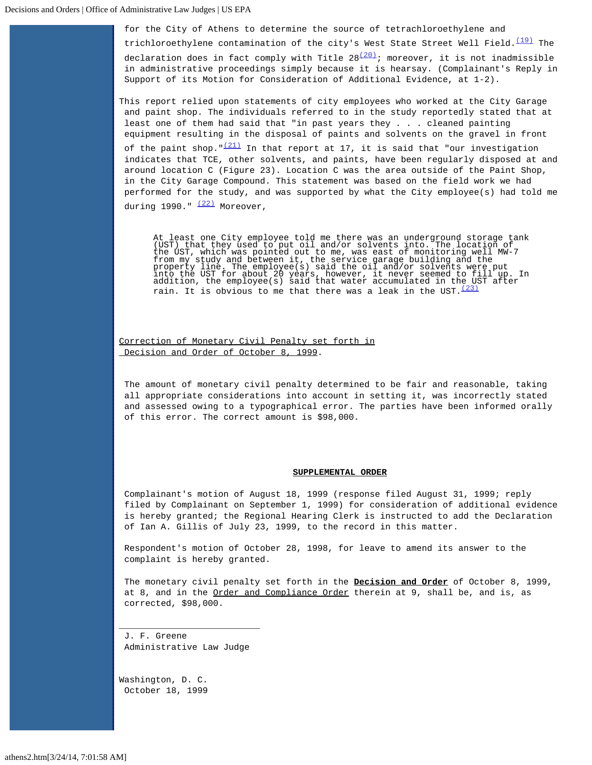for the City of Athens to determine the source of tetrachloroethylene and

trichloroethylene contamination of the city's West State Street Well Field. $(19)$  The declaration does in fact comply with Title  $28\frac{(20)}{10}$ ; moreover, it is not inadmissible in administrative proceedings simply because it is hearsay. (Complainant's Reply in Support of its Motion for Consideration of Additional Evidence, at 1-2).

This report relied upon statements of city employees who worked at the City Garage and paint shop. The individuals referred to in the study reportedly stated that at least one of them had said that "in past years they . . . cleaned painting equipment resulting in the disposal of paints and solvents on the gravel in front

of the paint shop.  $\frac{(21)}{1}$  $\frac{(21)}{1}$  $\frac{(21)}{1}$  In that report at 17, it is said that "our investigation indicates that TCE, other solvents, and paints, have been regularly disposed at and around location C (Figure 23). Location C was the area outside of the Paint Shop, in the City Garage Compound. This statement was based on the field work we had performed for the study, and was supported by what the City employee(s) had told me during 1990."  $(22)$  Moreover,

At least one City employee told me there was an underground storage tank<br>(UST) that they used to put oil and/or solvents into. The location of<br>the UST, which was pointed out to me, was east of monitoring well MW-7<br>from my rain. It is obvious to me that there was a leak in the UST.  $(23)$ 

Correction of Monetary Civil Penalty set forth in Decision and Order of October 8, 1999.

The amount of monetary civil penalty determined to be fair and reasonable, taking all appropriate considerations into account in setting it, was incorrectly stated and assessed owing to a typographical error. The parties have been informed orally of this error. The correct amount is \$98,000.

#### **SUPPLEMENTAL ORDER**

Complainant's motion of August 18, 1999 (response filed August 31, 1999; reply filed by Complainant on September 1, 1999) for consideration of additional evidence is hereby granted; the Regional Hearing Clerk is instructed to add the Declaration of Ian A. Gillis of July 23, 1999, to the record in this matter.

Respondent's motion of October 28, 1998, for leave to amend its answer to the complaint is hereby granted.

The monetary civil penalty set forth in the **Decision and Order** of October 8, 1999, at 8, and in the Order and Compliance Order therein at 9, shall be, and is, as corrected, \$98,000.

J. F. Greene Administrative Law Judge

\_\_\_\_\_\_\_\_\_\_\_\_\_\_\_\_\_\_\_\_\_\_\_\_\_\_\_

Washington, D. C. October 18, 1999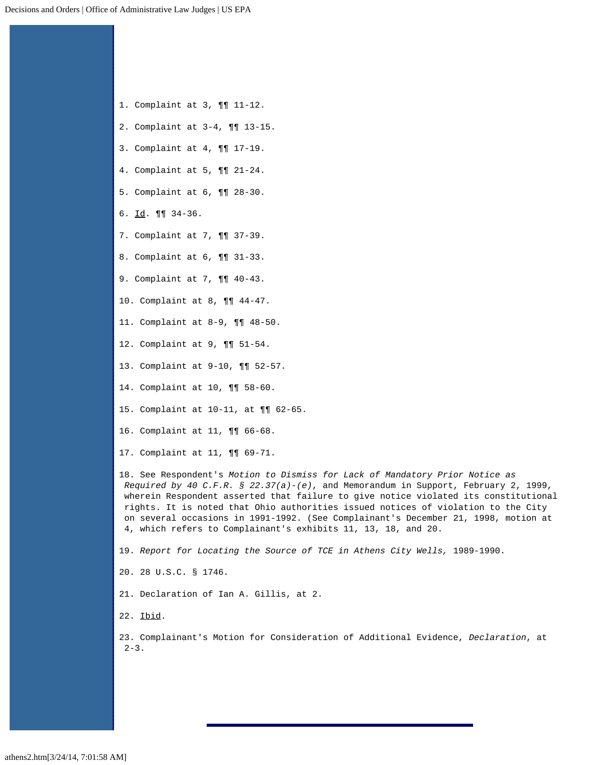- <span id="page-5-0"></span>1. Complaint at 3, ¶¶ 11-12.
- <span id="page-5-1"></span>2. Complaint at 3-4, ¶¶ 13-15.
- <span id="page-5-2"></span>3. Complaint at 4, ¶¶ 17-19.
- <span id="page-5-3"></span>4. Complaint at 5, ¶¶ 21-24.
- <span id="page-5-4"></span>5. Complaint at 6, ¶¶ 28-30.
- <span id="page-5-5"></span>6. Id. ¶¶ 34-36.
- <span id="page-5-6"></span>7. Complaint at 7, ¶¶ 37-39.
- <span id="page-5-7"></span>8. Complaint at 6, ¶¶ 31-33.
- <span id="page-5-8"></span>9. Complaint at 7, ¶¶ 40-43.
- <span id="page-5-9"></span>10. Complaint at 8, ¶¶ 44-47.
- <span id="page-5-10"></span>11. Complaint at 8-9, ¶¶ 48-50.
- <span id="page-5-11"></span>12. Complaint at 9, ¶¶ 51-54.
- <span id="page-5-12"></span>13. Complaint at 9-10, ¶¶ 52-57.
- <span id="page-5-13"></span>14. Complaint at 10, ¶¶ 58-60.
- <span id="page-5-14"></span>15. Complaint at 10-11, at ¶¶ 62-65.
- <span id="page-5-15"></span>16. Complaint at 11, ¶¶ 66-68.
- <span id="page-5-16"></span>17. Complaint at 11, ¶¶ 69-71.

<span id="page-5-17"></span>18. See Respondent's *Motion to Dismiss for Lack of Mandatory Prior Notice as Required by 40 C.F.R. § 22.37(a)-(e)*, and Memorandum in Support, February 2, 1999, wherein Respondent asserted that failure to give notice violated its constitutional rights. It is noted that Ohio authorities issued notices of violation to the City on several occasions in 1991-1992. (See Complainant's December 21, 1998, motion at 4, which refers to Complainant's exhibits 11, 13, 18, and 20.

<span id="page-5-18"></span>19. *Report for Locating the Source of TCE in Athens City Wells,* 1989-1990.

<span id="page-5-19"></span>20. 28 U.S.C. § 1746.

<span id="page-5-20"></span>21. Declaration of Ian A. Gillis, at 2.

<span id="page-5-21"></span>22. Ibid.

<span id="page-5-22"></span>23. Complainant's Motion for Consideration of Additional Evidence, *Declaration*, at  $2 - 3$ .